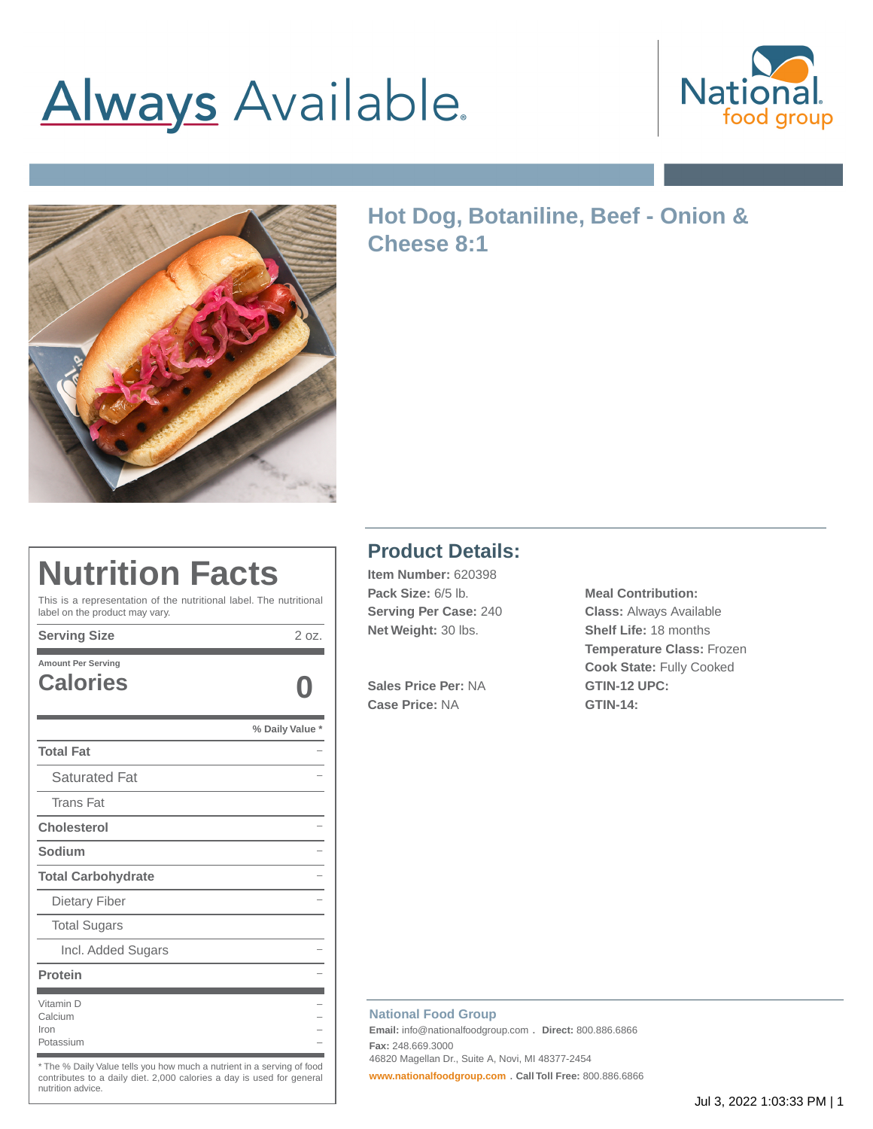# **Always** Available.





### **Hot Dog, Botaniline, Beef - Onion & Cheese 8:1**

### **Nutrition Facts**

This is a representation of the nutritional label. The nutritional label on the product may vary.

**Serving Size** 2 oz.

| <b>Amount Per Serving</b><br><b>Calories</b> |               |
|----------------------------------------------|---------------|
|                                              |               |
|                                              | % Daily Value |
| <b>Total Fat</b>                             |               |
| <b>Saturated Fat</b>                         |               |
| <b>Trans Fat</b>                             |               |
| <b>Cholesterol</b>                           |               |
| Sodium                                       |               |
| <b>Total Carbohydrate</b>                    |               |
| Dietary Fiber                                |               |
| <b>Total Sugars</b>                          |               |
| Incl. Added Sugars                           |               |
| Protein                                      |               |
| Vitamin D<br>Calcium<br>Iron<br>Potassium    |               |

\* The % Daily Value tells you how much a nutrient in a serving of food contributes to a daily diet. 2,000 calories a day is used for general nutrition advice.

#### **Product Details:**

**Item Number:** 620398 **Pack Size:** 6/5 lb. **Meal Contribution: Serving Per Case:** 240 **Class:** Always Available **Net Weight:** 30 lbs. **Shelf Life:** 18 months

**Sales Price Per:** NA **GTIN-12 UPC: Case Price:** NA **GTIN-14:**

**Temperature Class:** Frozen **Cook State:** Fully Cooked

#### **National Food Group**

**Email:** info@nationalfoodgroup.com . **Direct:** 800.886.6866 **Fax:** 248.669.3000 46820 Magellan Dr., Suite A, Novi, MI 48377-2454

**[www.nationalfoodgroup.com](https://3450792.app.netsuite.com/www.nationalfoodgroup.com)** . **Call Toll Free:** 800.886.6866